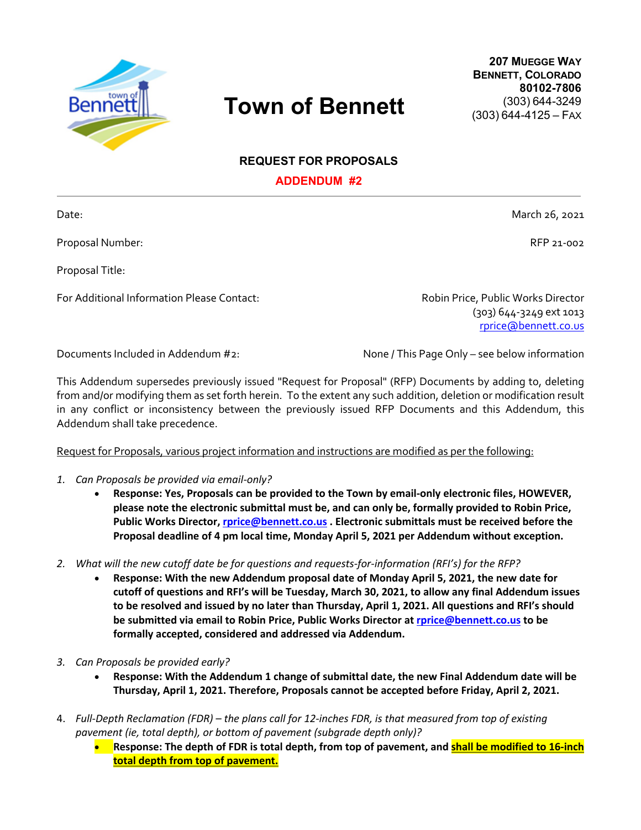

## **Town of Bennett**

**207 MUEGGE WAY BENNETT, COLORADO 80102-7806** (303) 644-3249 (303) 644-4125 – FAX

**REQUEST FOR PROPOSALS**

**ADDENDUM #2**

Proposal Number: RFP 21-002

Proposal Title:

For Additional Information Please Contact: Robin Price, Public Works Director

(303) 644-3249 ext 1013 rprice@bennett.co.us

Documents Included in Addendum #2: None / This Page Only – see below information

This Addendum supersedes previously issued "Request for Proposal" (RFP) Documents by adding to, deleting from and/or modifying them as set forth herein. To the extent any such addition, deletion or modification result in any conflict or inconsistency between the previously issued RFP Documents and this Addendum, this Addendum shall take precedence.

Request for Proposals, various project information and instructions are modified as per the following:

- *1. Can Proposals be provided via email-only?* 
	- **Response: Yes, Proposals can be provided to the Town by email-only electronic files, HOWEVER, please note the electronic submittal must be, and can only be, formally provided to Robin Price, Public Works Director, rprice@bennett.co.us . Electronic submittals must be received before the Proposal deadline of 4 pm local time, Monday April 5, 2021 per Addendum without exception.**
- *2. What will the new cutoff date be for questions and requests-for-information (RFI's) for the RFP?* 
	- **Response: With the new Addendum proposal date of Monday April 5, 2021, the new date for cutoff of questions and RFI's will be Tuesday, March 30, 2021, to allow any final Addendum issues to be resolved and issued by no later than Thursday, April 1, 2021. All questions and RFI's should be submitted via email to Robin Price, Public Works Director at rprice@bennett.co.us to be formally accepted, considered and addressed via Addendum.**
- *3. Can Proposals be provided early?* 
	- **Response: With the Addendum 1 change of submittal date, the new Final Addendum date will be Thursday, April 1, 2021. Therefore, Proposals cannot be accepted before Friday, April 2, 2021.**
- 4. *Full-Depth Reclamation (FDR) – the plans call for 12-inches FDR, is that measured from top of existing pavement (ie, total depth), or bottom of pavement (subgrade depth only)?*
	- **Response: The depth of FDR is total depth, from top of pavement, and shall be modified to 16-inch total depth from top of pavement.**

Date: March 26, 2021